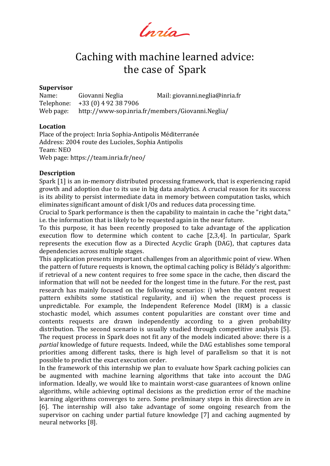Ingia-

# Caching with machine learned advice: the case of Spark

#### **Supervisor**

Name: Giovanni Neglia Mail: giovanni.neglia@inria.fr Telephone: +33 (0) 4 92 38 7906 Web page: http://www-sop.inria.fr/members/Giovanni.Neglia/

### **Location**

Place of the project: Inria Sophia-Antipolis Méditerranée Address: 2004 route des Lucioles, Sophia Antipolis Team: NEO Web page: https://team.inria.fr/neo/

### **Description**

Spark [1] is an in-memory distributed processing framework, that is experiencing rapid growth and adoption due to its use in big data analytics. A crucial reason for its success is its ability to persist intermediate data in memory between computation tasks, which eliminates significant amount of disk I/Os and reduces data processing time.

Crucial to Spark performance is then the capability to maintain in cache the "right data," i.e. the information that is likely to be requested again in the near future.

To this purpose, it has been recently proposed to take advantage of the application execution flow to determine which content to cache [2,3,4]. In particular, Spark represents the execution flow as a Directed Acyclic Graph (DAG), that captures data dependencies across multiple stages.

This application presents important challenges from an algorithmic point of view. When the pattern of future requests is known, the optimal caching policy is Bélády's algorithm: if retrieval of a new content requires to free some space in the cache, then discard the information that will not be needed for the longest time in the future. For the rest, past research has mainly focused on the following scenarios: i) when the content request pattern exhibits some statistical regularity, and ii) when the request process is unpredictable. For example, the Independent Reference Model (IRM) is a classic stochastic model, which assumes content popularities are constant over time and contents requests are drawn independently according to a given probability distribution. The second scenario is usually studied through competitive analysis [5]. The request process in Spark does not fit any of the models indicated above: there is a *partial* knowledge of future requests. Indeed, while the DAG establishes some temporal priorities among different tasks, there is high level of parallelism so that it is not possible to predict the exact execution order.

In the framework of this internship we plan to evaluate how Spark caching policies can be augmented with machine learning algorithms that take into account the DAG information. Ideally, we would like to maintain worst-case guarantees of known online algorithms, while achieving optimal decisions as the prediction error of the machine learning algorithms converges to zero. Some preliminary steps in this direction are in [6]. The internship will also take advantage of some ongoing research from the supervisor on caching under partial future knowledge [7] and caching augmented by neural networks [8].